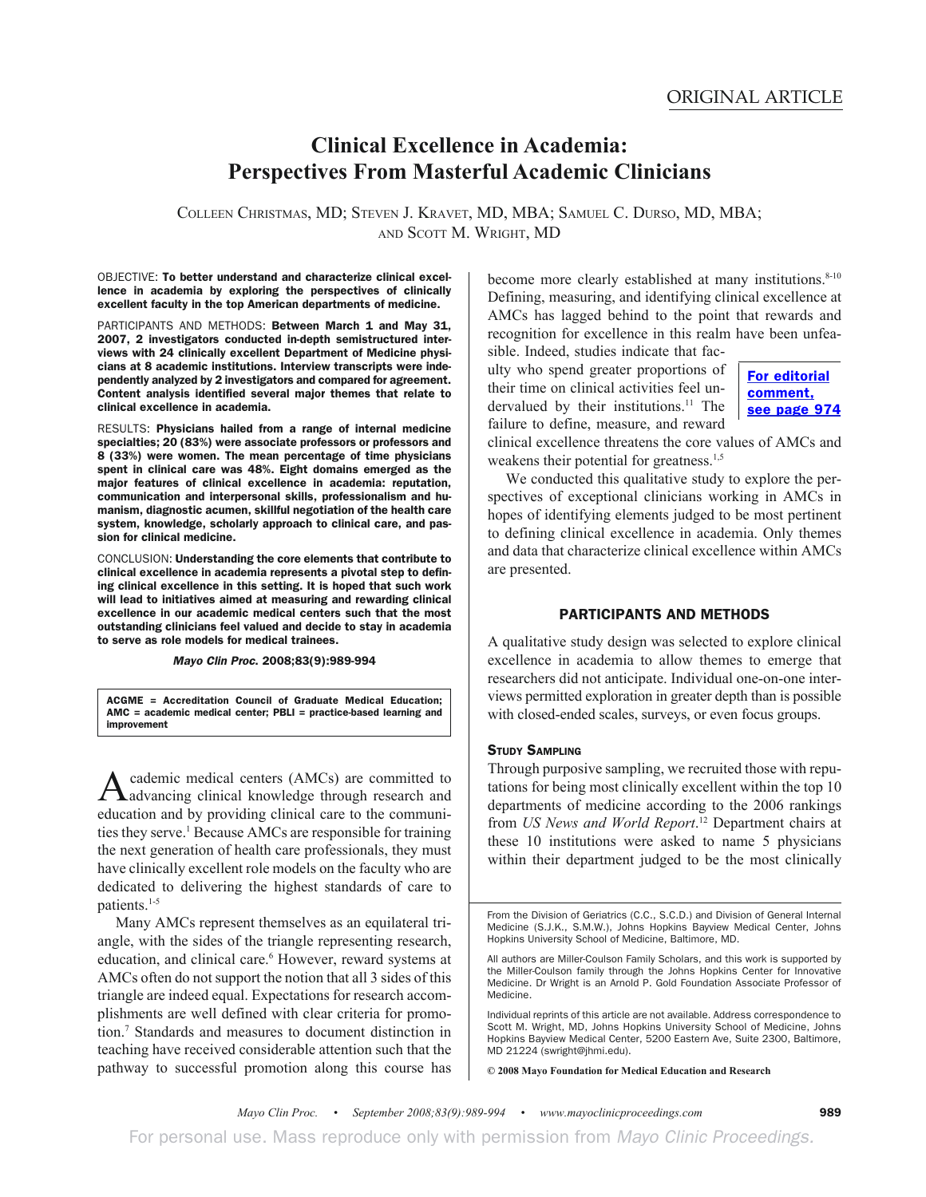# ORIGINAL ARTICLE

# **Clinical Excellence in Academia: Perspectives From Masterful Academic Clinicians**

COLLEEN CHRISTMAS, MD; STEVEN J. KRAVET, MD, MBA; SAMUEL C. DURSO, MD, MBA; AND SCOTT M. WRIGHT, MD

OBJECTIVE: To better understand and characterize clinical excellence in academia by exploring the perspectives of clinically excellent faculty in the top American departments of medicine.

PARTICIPANTS AND METHODS: Between March 1 and May 31, 2007, 2 investigators conducted in-depth semistructured interviews with 24 clinically excellent Department of Medicine physicians at 8 academic institutions. Interview transcripts were independently analyzed by 2 investigators and compared for agreement. Content analysis identified several major themes that relate to clinical excellence in academia.

RESULTS: Physicians hailed from a range of internal medicine specialties; 20 (83%) were associate professors or professors and 8 (33%) were women. The mean percentage of time physicians spent in clinical care was 48%. Eight domains emerged as the major features of clinical excellence in academia: reputation, communication and interpersonal skills, professionalism and humanism, diagnostic acumen, skillful negotiation of the health care system, knowledge, scholarly approach to clinical care, and passion for clinical medicine.

CONCLUSION: Understanding the core elements that contribute to clinical excellence in academia represents a pivotal step to defining clinical excellence in this setting. It is hoped that such work will lead to initiatives aimed at measuring and rewarding clinical excellence in our academic medical centers such that the most outstanding clinicians feel valued and decide to stay in academia to serve as role models for medical trainees.

Mayo Clin Proc. 2008;83(9):989-994

ACGME = Accreditation Council of Graduate Medical Education; AMC = academic medical center; PBLI = practice-based learning and improvement

Academic medical centers (AMCs) are committed to advancing clinical knowledge through research and education and by providing clinical care to the communities they serve.<sup>1</sup> Because AMCs are responsible for training the next generation of health care professionals, they must have clinically excellent role models on the faculty who are dedicated to delivering the highest standards of care to patients.<sup>1-5</sup>

Many AMCs represent themselves as an equilateral triangle, with the sides of the triangle representing research, education, and clinical care.<sup>6</sup> However, reward systems at AMCs often do not support the notion that all 3 sides of this triangle are indeed equal. Expectations for research accomplishments are well defined with clear criteria for promotion.7 Standards and measures to document distinction in teaching have received considerable attention such that the pathway to successful promotion along this course has become more clearly established at many institutions.<sup>8-10</sup> Defining, measuring, and identifying clinical excellence at AMCs has lagged behind to the point that rewards and recognition for excellence in this realm have been unfea-

sible. Indeed, studies indicate that faculty who spend greater proportions of their time on clinical activities feel undervalued by their institutions.<sup>11</sup> The failure to define, measure, and reward

For editorial comment, see page 974

clinical excellence threatens the core values of AMCs and weakens their potential for greatness.<sup>1,5</sup>

We conducted this qualitative study to explore the perspectives of exceptional clinicians working in AMCs in hopes of identifying elements judged to be most pertinent to defining clinical excellence in academia. Only themes and data that characterize clinical excellence within AMCs are presented.

## PARTICIPANTS AND METHODS

A qualitative study design was selected to explore clinical excellence in academia to allow themes to emerge that researchers did not anticipate. Individual one-on-one interviews permitted exploration in greater depth than is possible with closed-ended scales, surveys, or even focus groups.

### STUDY SAMPLING

Through purposive sampling, we recruited those with reputations for being most clinically excellent within the top 10 departments of medicine according to the 2006 rankings from *US News and World Report*. 12 Department chairs at these 10 institutions were asked to name 5 physicians within their department judged to be the most clinically

From the Division of Geriatrics (C.C., S.C.D.) and Division of General Internal Medicine (S.J.K., S.M.W.), Johns Hopkins Bayview Medical Center, Johns Hopkins University School of Medicine, Baltimore, MD.

Individual reprints of this article are not available. Address correspondence to Scott M. Wright, MD, Johns Hopkins University School of Medicine, Johns Hopkins Bayview Medical Center, 5200 Eastern Ave, Suite 2300, Baltimore, MD 21224 (swright@jhmi.edu).

**© 2008 Mayo Foundation for Medical Education and Research**

All authors are Miller-Coulson Family Scholars, and this work is supported by the Miller-Coulson family through the Johns Hopkins Center for Innovative Medicine. Dr Wright is an Arnold P. Gold Foundation Associate Professor of Medicine.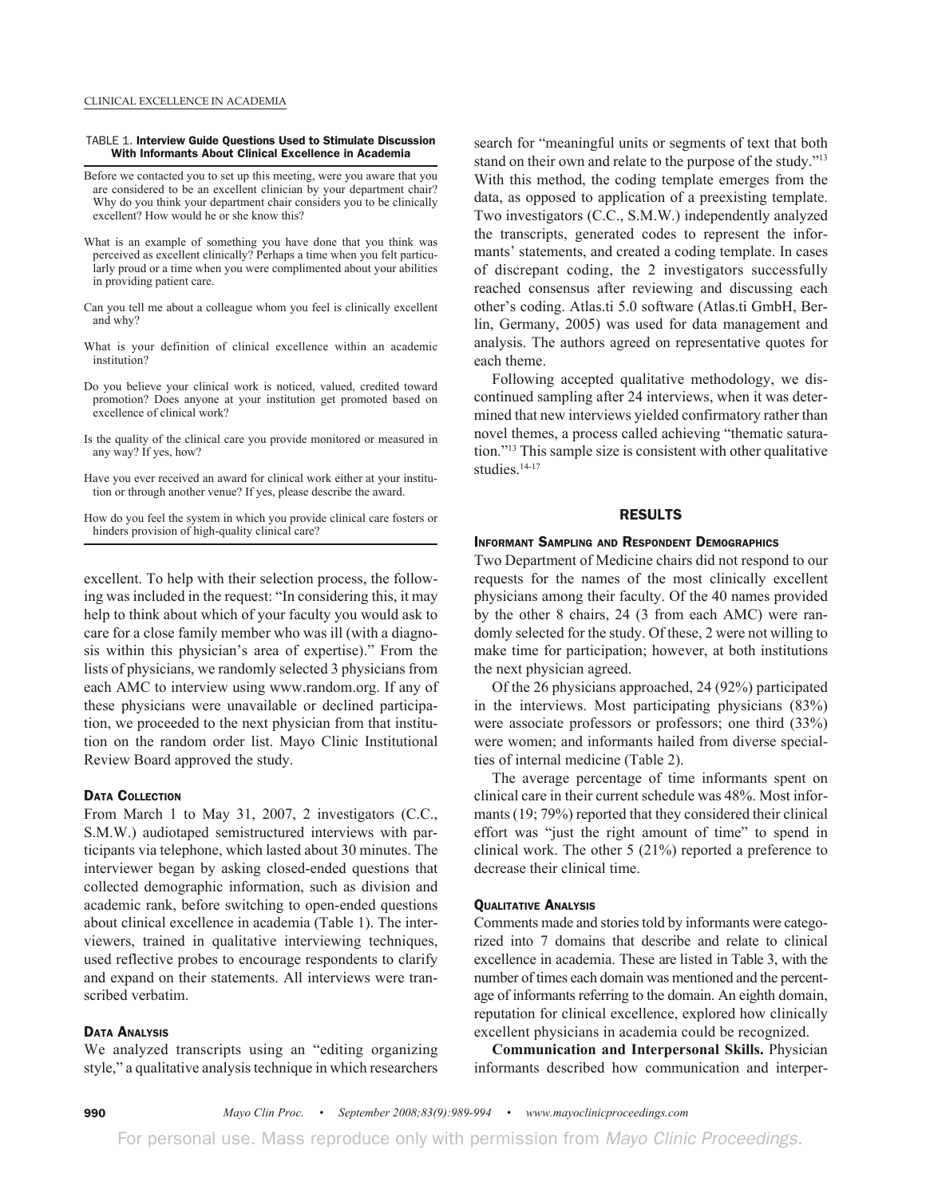#### TABLE 1. Interview Guide Questions Used to Stimulate Discussion With Informants About Clinical Excellence in Academia

Before we contacted you to set up this meeting, were you aware that you are considered to be an excellent clinician by your department chair? Why do you think your department chair considers you to be clinically excellent? How would he or she know this?

- What is an example of something you have done that you think was perceived as excellent clinically? Perhaps a time when you felt particularly proud or a time when you were complimented about your abilities in providing patient care.
- Can you tell me about a colleague whom you feel is clinically excellent and why?
- What is your definition of clinical excellence within an academic institution?
- Do you believe your clinical work is noticed, valued, credited toward promotion? Does anyone at your institution get promoted based on excellence of clinical work?
- Is the quality of the clinical care you provide monitored or measured in any way? If yes, how?

Have you ever received an award for clinical work either at your institution or through another venue? If yes, please describe the award.

How do you feel the system in which you provide clinical care fosters or hinders provision of high-quality clinical care?

excellent. To help with their selection process, the following was included in the request: "In considering this, it may help to think about which of your faculty you would ask to care for a close family member who was ill (with a diagnosis within this physician's area of expertise)." From the lists of physicians, we randomly selected 3 physicians from each AMC to interview using www.random.org. If any of these physicians were unavailable or declined participation, we proceeded to the next physician from that institution on the random order list. Mayo Clinic Institutional Review Board approved the study.

#### DATA COLLECTION

From March 1 to May 31, 2007, 2 investigators (C.C., S.M.W.) audiotaped semistructured interviews with participants via telephone, which lasted about 30 minutes. The interviewer began by asking closed-ended questions that collected demographic information, such as division and academic rank, before switching to open-ended questions about clinical excellence in academia (Table 1). The interviewers, trained in qualitative interviewing techniques, used reflective probes to encourage respondents to clarify and expand on their statements. All interviews were transcribed verbatim.

#### DATA ANALYSIS

We analyzed transcripts using an "editing organizing style," a qualitative analysis technique in which researchers

search for "meaningful units or segments of text that both stand on their own and relate to the purpose of the study."13 With this method, the coding template emerges from the data, as opposed to application of a preexisting template. Two investigators (C.C., S.M.W.) independently analyzed the transcripts, generated codes to represent the informants' statements, and created a coding template. In cases of discrepant coding, the 2 investigators successfully reached consensus after reviewing and discussing each other's coding. Atlas.ti 5.0 software (Atlas.ti GmbH, Berlin, Germany, 2005) was used for data management and analysis. The authors agreed on representative quotes for each theme.

Following accepted qualitative methodology, we discontinued sampling after 24 interviews, when it was determined that new interviews yielded confirmatory rather than novel themes, a process called achieving "thematic saturation."13 This sample size is consistent with other qualitative studies.<sup>14-17</sup>

#### RESULTS

#### INFORMANT SAMPLING AND RESPONDENT DEMOGRAPHICS

Two Department of Medicine chairs did not respond to our requests for the names of the most clinically excellent physicians among their faculty. Of the 40 names provided by the other 8 chairs, 24 (3 from each AMC) were randomly selected for the study. Of these, 2 were not willing to make time for participation; however, at both institutions the next physician agreed.

Of the 26 physicians approached, 24 (92%) participated in the interviews. Most participating physicians (83%) were associate professors or professors; one third (33%) were women; and informants hailed from diverse specialties of internal medicine (Table 2).

The average percentage of time informants spent on clinical care in their current schedule was 48%. Most informants (19; 79%) reported that they considered their clinical effort was "just the right amount of time" to spend in clinical work. The other 5 (21%) reported a preference to decrease their clinical time.

#### QUALITATIVE ANALYSIS

Comments made and stories told by informants were categorized into 7 domains that describe and relate to clinical excellence in academia. These are listed in Table 3, with the number of times each domain was mentioned and the percentage of informants referring to the domain. An eighth domain, reputation for clinical excellence, explored how clinically excellent physicians in academia could be recognized.

**Communication and Interpersonal Skills.** Physician informants described how communication and interper-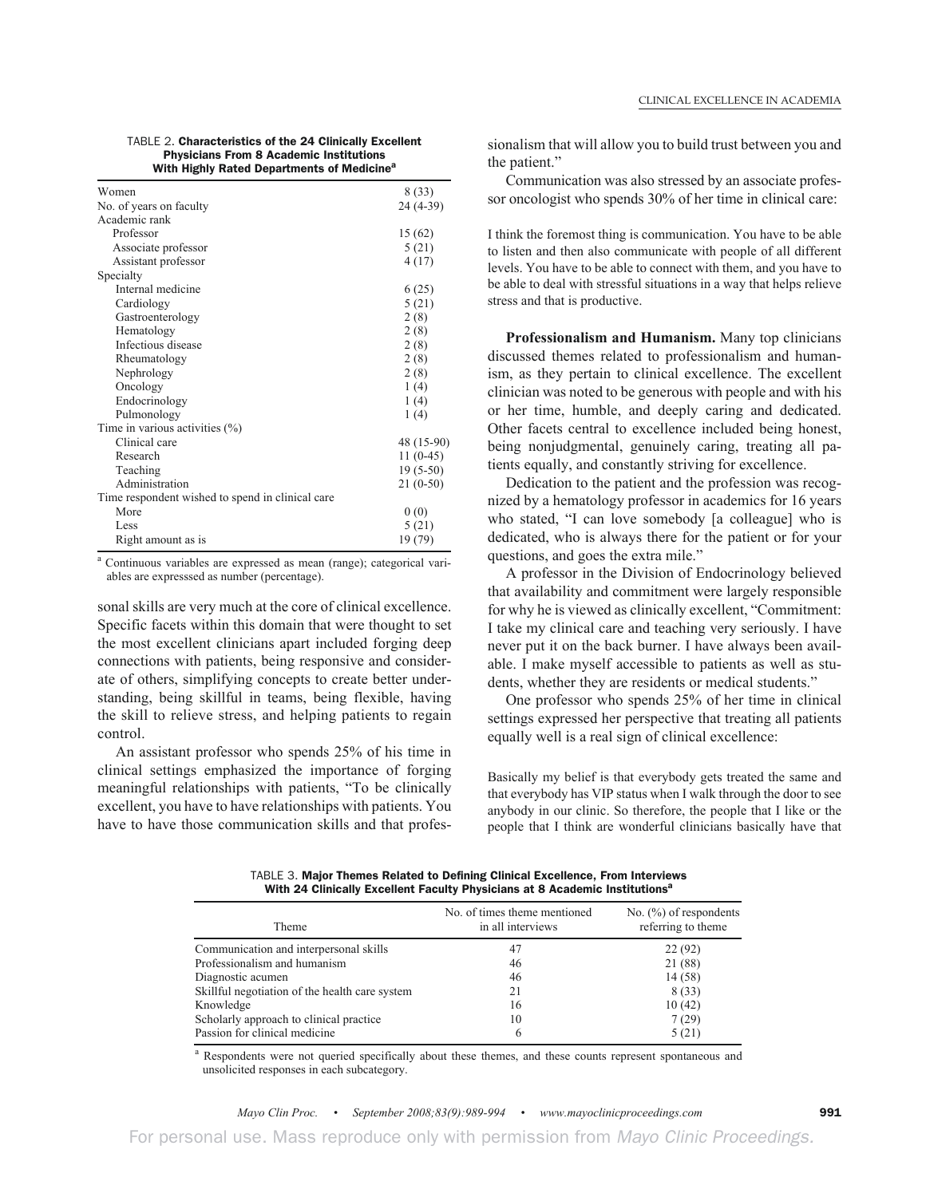| TABLE 2. Characteristics of the 24 Clinically Excellent |
|---------------------------------------------------------|
| <b>Physicians From 8 Academic Institutions</b>          |
| With Highly Rated Departments of Medicine <sup>a</sup>  |

| Women                                                    | 8(33)       |
|----------------------------------------------------------|-------------|
| No. of years on faculty                                  | 24 (4-39)   |
| Academic rank                                            |             |
| Professor                                                | 15(62)      |
| Associate professor                                      | 5(21)       |
| Assistant professor                                      | 4(17)       |
| Specialty                                                |             |
| Internal medicine                                        | 6(25)       |
| Cardiology                                               | 5(21)       |
| Gastroenterology                                         | 2(8)        |
| Hematology                                               | 2(8)        |
| Infectious disease                                       | 2(8)        |
| Rheumatology                                             | 2(8)        |
| Nephrology                                               | 2(8)        |
| Oncology                                                 | 1(4)        |
| Endocrinology                                            | 1(4)        |
| Pulmonology                                              | 1(4)        |
| Time in various activities $(\% )$                       |             |
| Clinical care                                            | 48 (15-90)  |
| Research                                                 | 11 $(0-45)$ |
| Teaching                                                 | $19(5-50)$  |
| Administration                                           | $21(0-50)$  |
|                                                          |             |
| Time respondent wished to spend in clinical care<br>More |             |
|                                                          | 0(0)        |
| Less                                                     | 5 (21)      |
| Right amount as is                                       | 19(79)      |

<sup>a</sup> Continuous variables are expressed as mean (range); categorical variables are expresssed as number (percentage).

sonal skills are very much at the core of clinical excellence. Specific facets within this domain that were thought to set the most excellent clinicians apart included forging deep connections with patients, being responsive and considerate of others, simplifying concepts to create better understanding, being skillful in teams, being flexible, having the skill to relieve stress, and helping patients to regain control.

An assistant professor who spends 25% of his time in clinical settings emphasized the importance of forging meaningful relationships with patients, "To be clinically excellent, you have to have relationships with patients. You have to have those communication skills and that professionalism that will allow you to build trust between you and the patient."

Communication was also stressed by an associate professor oncologist who spends 30% of her time in clinical care:

I think the foremost thing is communication. You have to be able to listen and then also communicate with people of all different levels. You have to be able to connect with them, and you have to be able to deal with stressful situations in a way that helps relieve stress and that is productive.

**Professionalism and Humanism.** Many top clinicians discussed themes related to professionalism and humanism, as they pertain to clinical excellence. The excellent clinician was noted to be generous with people and with his or her time, humble, and deeply caring and dedicated. Other facets central to excellence included being honest, being nonjudgmental, genuinely caring, treating all patients equally, and constantly striving for excellence.

Dedication to the patient and the profession was recognized by a hematology professor in academics for 16 years who stated, "I can love somebody [a colleague] who is dedicated, who is always there for the patient or for your questions, and goes the extra mile."

A professor in the Division of Endocrinology believed that availability and commitment were largely responsible for why he is viewed as clinically excellent, "Commitment: I take my clinical care and teaching very seriously. I have never put it on the back burner. I have always been available. I make myself accessible to patients as well as students, whether they are residents or medical students."

One professor who spends 25% of her time in clinical settings expressed her perspective that treating all patients equally well is a real sign of clinical excellence:

Basically my belief is that everybody gets treated the same and that everybody has VIP status when I walk through the door to see anybody in our clinic. So therefore, the people that I like or the people that I think are wonderful clinicians basically have that

TABLE 3. Major Themes Related to Defining Clinical Excellence, From Interviews With 24 Clinically Excellent Faculty Physicians at 8 Academic Institutions<sup>a</sup>

| Theme                                          | No. of times theme mentioned<br>in all interviews | No. $(\%)$ of respondents<br>referring to theme |
|------------------------------------------------|---------------------------------------------------|-------------------------------------------------|
| Communication and interpersonal skills         | 47                                                | 22(92)                                          |
| Professionalism and humanism                   | 46                                                | 21 (88)                                         |
| Diagnostic acumen                              | 46                                                | 14(58)                                          |
| Skillful negotiation of the health care system | 21                                                | 8(33)                                           |
| Knowledge                                      | 16                                                | 10(42)                                          |
| Scholarly approach to clinical practice        | 10                                                | 7(29)                                           |
| Passion for clinical medicine                  | 6                                                 | 5(21)                                           |

<sup>a</sup> Respondents were not queried specifically about these themes, and these counts represent spontaneous and unsolicited responses in each subcategory.

For personal use. Mass reproduce only with permission from *Mayo Clinic Proceedings*.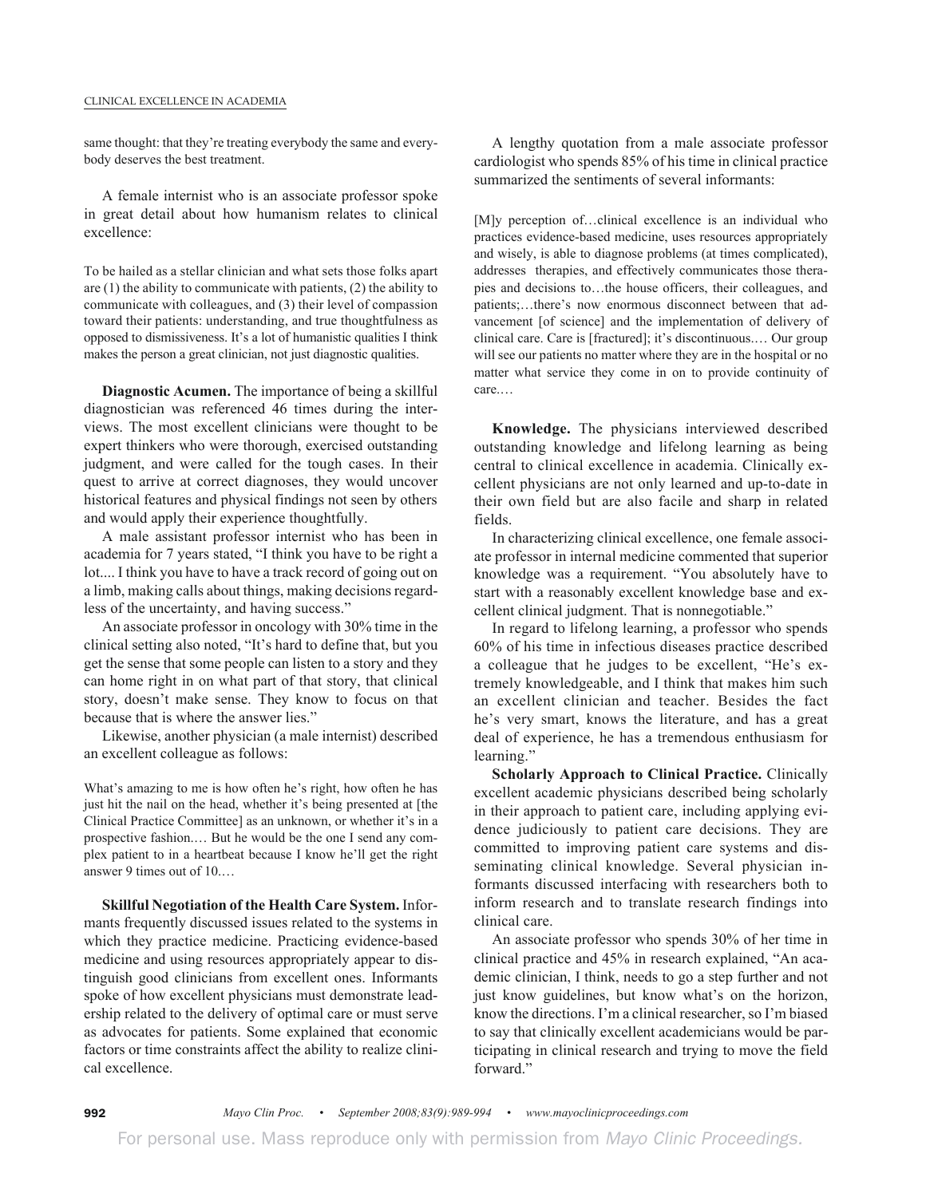#### CLINICAL EXCELLENCE IN ACADEMIA

same thought: that they're treating everybody the same and everybody deserves the best treatment.

A female internist who is an associate professor spoke in great detail about how humanism relates to clinical excellence:

To be hailed as a stellar clinician and what sets those folks apart are (1) the ability to communicate with patients, (2) the ability to communicate with colleagues, and (3) their level of compassion toward their patients: understanding, and true thoughtfulness as opposed to dismissiveness. It's a lot of humanistic qualities I think makes the person a great clinician, not just diagnostic qualities.

**Diagnostic Acumen.** The importance of being a skillful diagnostician was referenced 46 times during the interviews. The most excellent clinicians were thought to be expert thinkers who were thorough, exercised outstanding judgment, and were called for the tough cases. In their quest to arrive at correct diagnoses, they would uncover historical features and physical findings not seen by others and would apply their experience thoughtfully.

A male assistant professor internist who has been in academia for 7 years stated, "I think you have to be right a lot.... I think you have to have a track record of going out on a limb, making calls about things, making decisions regardless of the uncertainty, and having success."

An associate professor in oncology with 30% time in the clinical setting also noted, "It's hard to define that, but you get the sense that some people can listen to a story and they can home right in on what part of that story, that clinical story, doesn't make sense. They know to focus on that because that is where the answer lies."

Likewise, another physician (a male internist) described an excellent colleague as follows:

What's amazing to me is how often he's right, how often he has just hit the nail on the head, whether it's being presented at [the Clinical Practice Committee] as an unknown, or whether it's in a prospective fashion.… But he would be the one I send any complex patient to in a heartbeat because I know he'll get the right answer 9 times out of 10.…

**Skillful Negotiation of the Health Care System.** Informants frequently discussed issues related to the systems in which they practice medicine. Practicing evidence-based medicine and using resources appropriately appear to distinguish good clinicians from excellent ones. Informants spoke of how excellent physicians must demonstrate leadership related to the delivery of optimal care or must serve as advocates for patients. Some explained that economic factors or time constraints affect the ability to realize clinical excellence.

A lengthy quotation from a male associate professor cardiologist who spends 85% of his time in clinical practice summarized the sentiments of several informants:

[M]y perception of…clinical excellence is an individual who practices evidence-based medicine, uses resources appropriately and wisely, is able to diagnose problems (at times complicated), addresses therapies, and effectively communicates those therapies and decisions to…the house officers, their colleagues, and patients;…there's now enormous disconnect between that advancement [of science] and the implementation of delivery of clinical care. Care is [fractured]; it's discontinuous.… Our group will see our patients no matter where they are in the hospital or no matter what service they come in on to provide continuity of care.…

**Knowledge.** The physicians interviewed described outstanding knowledge and lifelong learning as being central to clinical excellence in academia. Clinically excellent physicians are not only learned and up-to-date in their own field but are also facile and sharp in related fields.

In characterizing clinical excellence, one female associate professor in internal medicine commented that superior knowledge was a requirement. "You absolutely have to start with a reasonably excellent knowledge base and excellent clinical judgment. That is nonnegotiable."

In regard to lifelong learning, a professor who spends 60% of his time in infectious diseases practice described a colleague that he judges to be excellent, "He's extremely knowledgeable, and I think that makes him such an excellent clinician and teacher. Besides the fact he's very smart, knows the literature, and has a great deal of experience, he has a tremendous enthusiasm for learning."

**Scholarly Approach to Clinical Practice.** Clinically excellent academic physicians described being scholarly in their approach to patient care, including applying evidence judiciously to patient care decisions. They are committed to improving patient care systems and disseminating clinical knowledge. Several physician informants discussed interfacing with researchers both to inform research and to translate research findings into clinical care.

An associate professor who spends 30% of her time in clinical practice and 45% in research explained, "An academic clinician, I think, needs to go a step further and not just know guidelines, but know what's on the horizon, know the directions. I'm a clinical researcher, so I'm biased to say that clinically excellent academicians would be participating in clinical research and trying to move the field forward."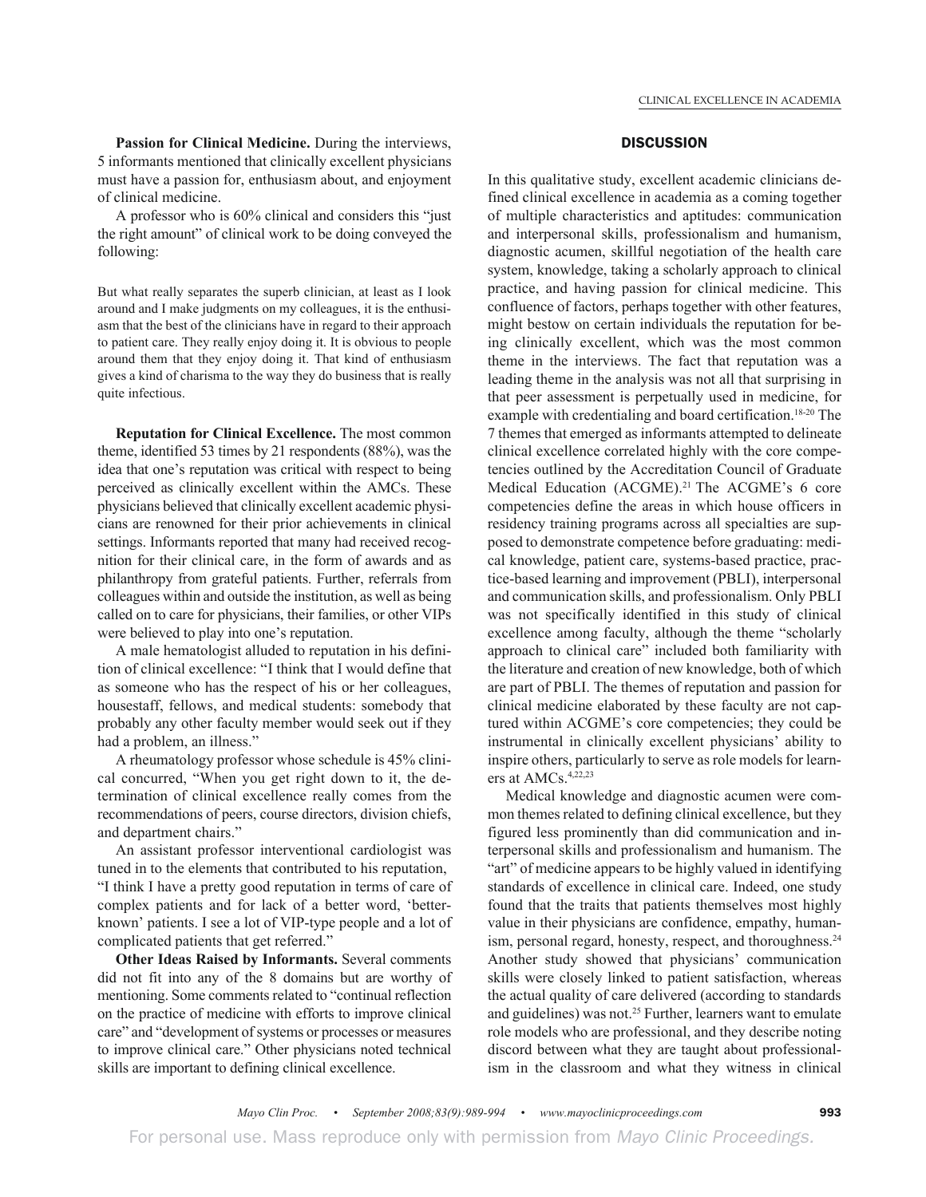**Passion for Clinical Medicine.** During the interviews, 5 informants mentioned that clinically excellent physicians must have a passion for, enthusiasm about, and enjoyment of clinical medicine.

A professor who is 60% clinical and considers this "just the right amount" of clinical work to be doing conveyed the following:

But what really separates the superb clinician, at least as I look around and I make judgments on my colleagues, it is the enthusiasm that the best of the clinicians have in regard to their approach to patient care. They really enjoy doing it. It is obvious to people around them that they enjoy doing it. That kind of enthusiasm gives a kind of charisma to the way they do business that is really quite infectious.

**Reputation for Clinical Excellence.** The most common theme, identified 53 times by 21 respondents (88%), was the idea that one's reputation was critical with respect to being perceived as clinically excellent within the AMCs. These physicians believed that clinically excellent academic physicians are renowned for their prior achievements in clinical settings. Informants reported that many had received recognition for their clinical care, in the form of awards and as philanthropy from grateful patients. Further, referrals from colleagues within and outside the institution, as well as being called on to care for physicians, their families, or other VIPs were believed to play into one's reputation.

A male hematologist alluded to reputation in his definition of clinical excellence: "I think that I would define that as someone who has the respect of his or her colleagues, housestaff, fellows, and medical students: somebody that probably any other faculty member would seek out if they had a problem, an illness."

A rheumatology professor whose schedule is 45% clinical concurred, "When you get right down to it, the determination of clinical excellence really comes from the recommendations of peers, course directors, division chiefs, and department chairs."

An assistant professor interventional cardiologist was tuned in to the elements that contributed to his reputation, "I think I have a pretty good reputation in terms of care of complex patients and for lack of a better word, 'betterknown' patients. I see a lot of VIP-type people and a lot of complicated patients that get referred."

**Other Ideas Raised by Informants.** Several comments did not fit into any of the 8 domains but are worthy of mentioning. Some comments related to "continual reflection on the practice of medicine with efforts to improve clinical care" and "development of systems or processes or measures to improve clinical care." Other physicians noted technical skills are important to defining clinical excellence.

#### **DISCUSSION**

In this qualitative study, excellent academic clinicians defined clinical excellence in academia as a coming together of multiple characteristics and aptitudes: communication and interpersonal skills, professionalism and humanism, diagnostic acumen, skillful negotiation of the health care system, knowledge, taking a scholarly approach to clinical practice, and having passion for clinical medicine. This confluence of factors, perhaps together with other features, might bestow on certain individuals the reputation for being clinically excellent, which was the most common theme in the interviews. The fact that reputation was a leading theme in the analysis was not all that surprising in that peer assessment is perpetually used in medicine, for example with credentialing and board certification.<sup>18-20</sup> The 7 themes that emerged as informants attempted to delineate clinical excellence correlated highly with the core competencies outlined by the Accreditation Council of Graduate Medical Education (ACGME).<sup>21</sup> The ACGME's 6 core competencies define the areas in which house officers in residency training programs across all specialties are supposed to demonstrate competence before graduating: medical knowledge, patient care, systems-based practice, practice-based learning and improvement (PBLI), interpersonal and communication skills, and professionalism. Only PBLI was not specifically identified in this study of clinical excellence among faculty, although the theme "scholarly approach to clinical care" included both familiarity with the literature and creation of new knowledge, both of which are part of PBLI. The themes of reputation and passion for clinical medicine elaborated by these faculty are not captured within ACGME's core competencies; they could be instrumental in clinically excellent physicians' ability to inspire others, particularly to serve as role models for learners at AMCs.4,22,23

Medical knowledge and diagnostic acumen were common themes related to defining clinical excellence, but they figured less prominently than did communication and interpersonal skills and professionalism and humanism. The "art" of medicine appears to be highly valued in identifying standards of excellence in clinical care. Indeed, one study found that the traits that patients themselves most highly value in their physicians are confidence, empathy, humanism, personal regard, honesty, respect, and thoroughness.<sup>24</sup> Another study showed that physicians' communication skills were closely linked to patient satisfaction, whereas the actual quality of care delivered (according to standards and guidelines) was not.<sup>25</sup> Further, learners want to emulate role models who are professional, and they describe noting discord between what they are taught about professionalism in the classroom and what they witness in clinical